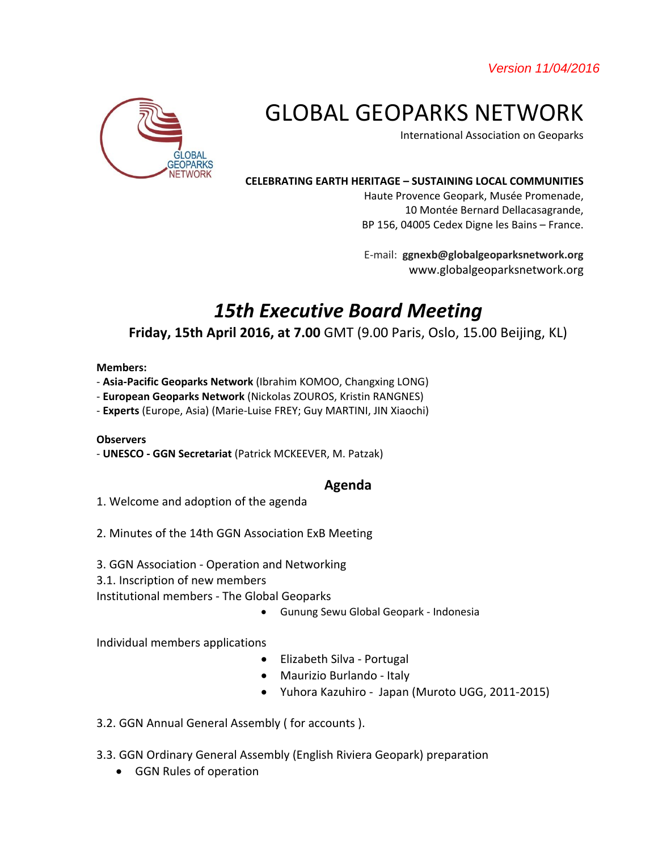*Version 11/04/2016* 



# GLOBAL GEOPARKS NETWORK

International Association on Geoparks

#### **CELEBRATING EARTH HERITAGE – SUSTAINING LOCAL COMMUNITIES**

Haute Provence Geopark, Musée Promenade, 10 Montée Bernard Dellacasagrande, BP 156, 04005 Cedex Digne les Bains – France.

E-mail: **ggnexb@globalgeoparksnetwork.org** www.globalgeoparksnetwork.org

# *15th Executive Board Meeting*

# **Friday, 15th April 2016, at 7.00** GMT (9.00 Paris, Oslo, 15.00 Beijing, KL)

#### **Members:**

- **Asia-Pacific Geoparks Network** (Ibrahim KOMOO, Changxing LONG)
- **European Geoparks Network** (Nickolas ZOUROS, Kristin RANGNES)
- **Experts** (Europe, Asia) (Marie-Luise FREY; Guy MARTINI, JIN Xiaochi)

#### **Observers**

- **UNESCO - GGN Secretariat** (Patrick MCKEEVER, M. Patzak)

## **Agenda**

- 1. Welcome and adoption of the agenda
- 2. Minutes of the 14th GGN Association ExB Meeting
- 3. GGN Association Operation and Networking
- 3.1. Inscription of new members

Institutional members - The Global Geoparks

Gunung Sewu Global Geopark - Indonesia

Individual members applications

- Elizabeth Silva Portugal
- Maurizio Burlando Italy
- Yuhora Kazuhiro Japan (Muroto UGG, 2011-2015)
- 3.2. GGN Annual General Assembly ( for accounts ).
- 3.3. GGN Ordinary General Assembly (English Riviera Geopark) preparation
	- GGN Rules of operation